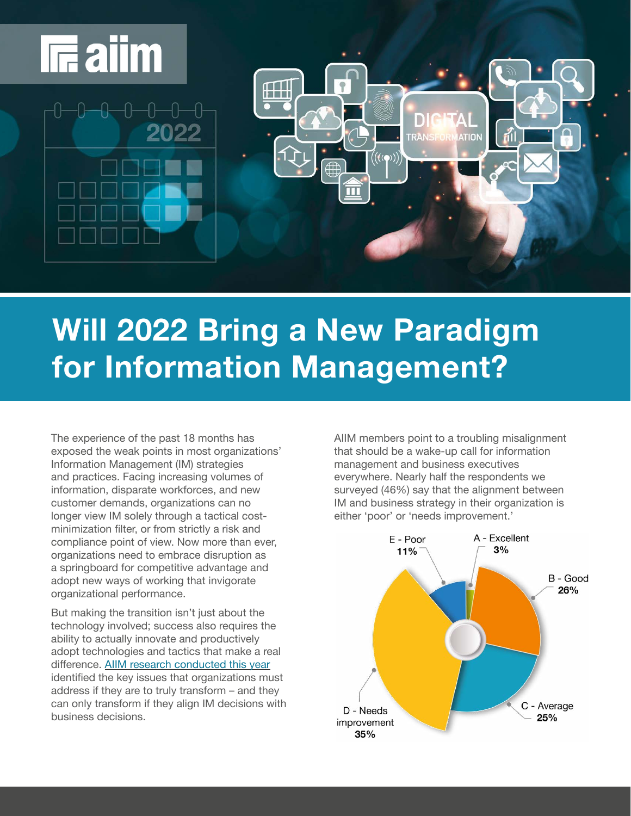

# **Will 2022 Bring a New Paradigm for Information Management?**

The experience of the past 18 months has exposed the weak points in most organizations' Information Management (IM) strategies and practices. Facing increasing volumes of information, disparate workforces, and new customer demands, organizations can no longer view IM solely through a tactical costminimization filter, or from strictly a risk and compliance point of view. Now more than ever, organizations need to embrace disruption as a springboard for competitive advantage and adopt new ways of working that invigorate organizational performance.

But making the transition isn't just about the technology involved; success also requires the ability to actually innovate and productively adopt technologies and tactics that make a real difference. [AIIM research conducted this year](https://info.aiim.org/state-of-the-intelligent-information-management-industry-2021) identified the key issues that organizations must address if they are to truly transform – and they can only transform if they align IM decisions with business decisions.

AIIM members point to a troubling misalignment that should be a wake-up call for information management and business executives everywhere. Nearly half the respondents we surveyed (46%) say that the alignment between IM and business strategy in their organization is either 'poor' or 'needs improvement.'

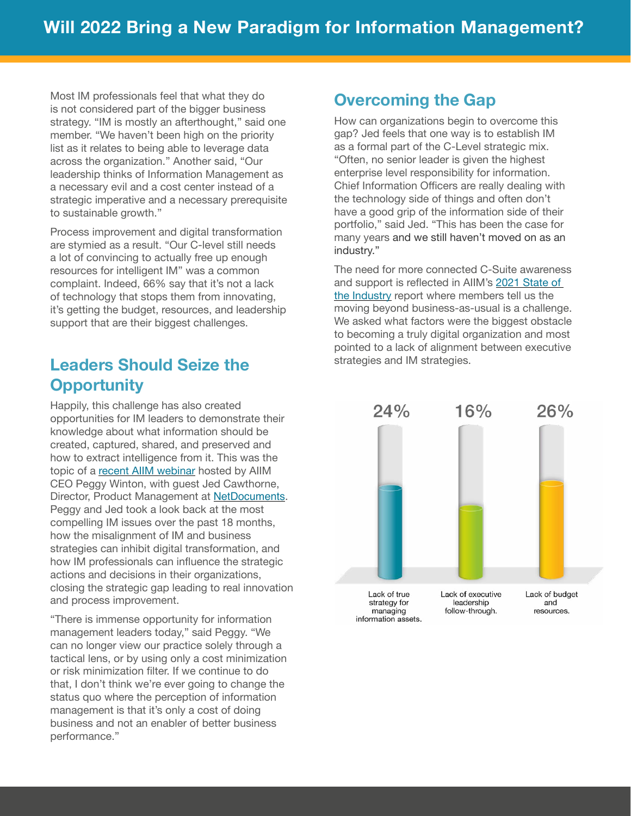Most IM professionals feel that what they do is not considered part of the bigger business strategy. "IM is mostly an afterthought," said one member. "We haven't been high on the priority list as it relates to being able to leverage data across the organization." Another said, "Our leadership thinks of Information Management as a necessary evil and a cost center instead of a strategic imperative and a necessary prerequisite to sustainable growth."

Process improvement and digital transformation are stymied as a result. "Our C-level still needs a lot of convincing to actually free up enough resources for intelligent IM" was a common complaint. Indeed, 66% say that it's not a lack of technology that stops them from innovating, it's getting the budget, resources, and leadership support that are their biggest challenges.

# **Leaders Should Seize the Opportunity**

Happily, this challenge has also created opportunities for IM leaders to demonstrate their knowledge about what information should be created, captured, shared, and preserved and how to extract intelligence from it. This was the topic of a [recent AIIM webinar](https://info.aiim.org/like-a-phoenix-rising-from-the-ashes) hosted by AIIM CEO Peggy Winton, with guest Jed Cawthorne, Director, Product Management at **[NetDocuments](http://www.NetDocuments.com)**. Peggy and Jed took a look back at the most compelling IM issues over the past 18 months, how the misalignment of IM and business strategies can inhibit digital transformation, and how IM professionals can influence the strategic actions and decisions in their organizations, closing the strategic gap leading to real innovation and process improvement.

"There is immense opportunity for information management leaders today," said Peggy. "We can no longer view our practice solely through a tactical lens, or by using only a cost minimization or risk minimization filter. If we continue to do that, I don't think we're ever going to change the status quo where the perception of information management is that it's only a cost of doing business and not an enabler of better business performance."

## **Overcoming the Gap**

How can organizations begin to overcome this gap? Jed feels that one way is to establish IM as a formal part of the C-Level strategic mix. "Often, no senior leader is given the highest enterprise level responsibility for information. Chief Information Officers are really dealing with the technology side of things and often don't have a good grip of the information side of their portfolio," said Jed. "This has been the case for many years and we still haven't moved on as an industry."

The need for more connected C-Suite awareness and support is reflected in AIIM's [2021 State of](https://info.aiim.org/state-of-the-intelligent-information-management-industry-2021)  [the Industry](https://info.aiim.org/state-of-the-intelligent-information-management-industry-2021) report where members tell us the moving beyond business-as-usual is a challenge. We asked what factors were the biggest obstacle to becoming a truly digital organization and most pointed to a lack of alignment between executive strategies and IM strategies.

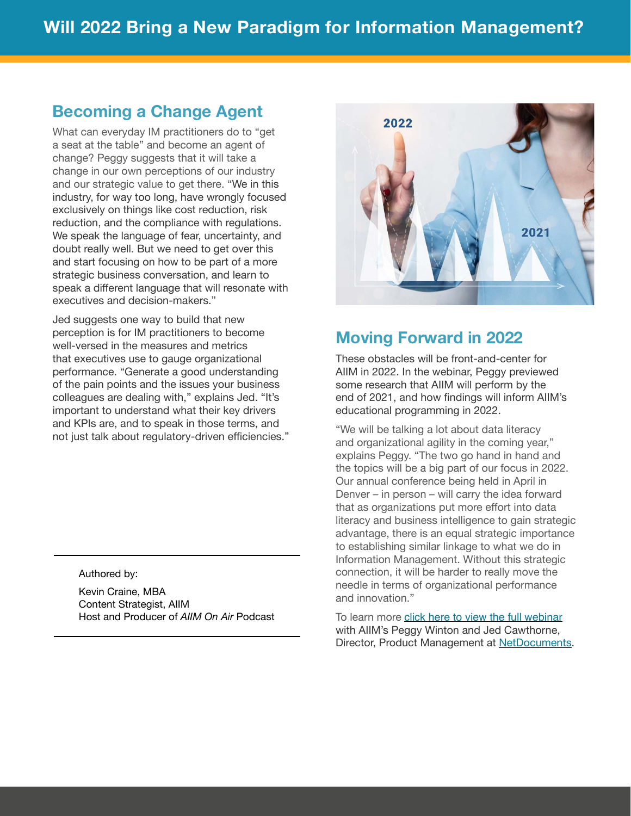## **Becoming a Change Agent**

What can everyday IM practitioners do to "get a seat at the table" and become an agent of change? Peggy suggests that it will take a change in our own perceptions of our industry and our strategic value to get there. "We in this industry, for way too long, have wrongly focused exclusively on things like cost reduction, risk reduction, and the compliance with regulations. We speak the language of fear, uncertainty, and doubt really well. But we need to get over this and start focusing on how to be part of a more strategic business conversation, and learn to speak a different language that will resonate with executives and decision-makers."

Jed suggests one way to build that new perception is for IM practitioners to become well-versed in the measures and metrics that executives use to gauge organizational performance. "Generate a good understanding of the pain points and the issues your business colleagues are dealing with," explains Jed. "It's important to understand what their key drivers and KPIs are, and to speak in those terms, and not just talk about regulatory-driven efficiencies."

#### Authored by:

Kevin Craine, MBA Content Strategist, AIIM Host and Producer of *AIIM On Air* Podcast



## **Moving Forward in 2022**

These obstacles will be front-and-center for AIIM in 2022. In the webinar, Peggy previewed some research that AIIM will perform by the end of 2021, and how findings will inform AIIM's educational programming in 2022.

"We will be talking a lot about data literacy and organizational agility in the coming year," explains Peggy. "The two go hand in hand and the topics will be a big part of our focus in 2022. Our annual conference being held in April in Denver – in person – will carry the idea forward that as organizations put more effort into data literacy and business intelligence to gain strategic advantage, there is an equal strategic importance to establishing similar linkage to what we do in Information Management. Without this strategic connection, it will be harder to really move the needle in terms of organizational performance and innovation."

To learn more click here to view the full webinar with AIIM's Peggy Winton and Jed Cawthorne, Director, Product Management at [NetDocuments.](https://www.netdocuments.com/)